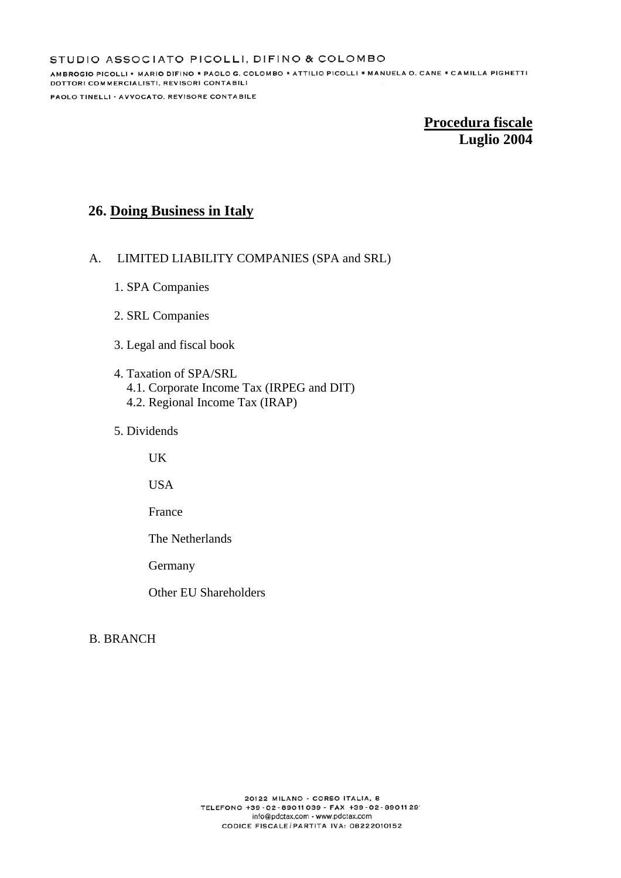# **26. Doing Business in Italy**

## A. LIMITED LIABILITY COMPANIES (SPA and SRL)

- 1. SPA Companies
- 2. SRL Companies
- 3. Legal and fiscal book
- 4. Taxation of SPA/SRL 4.1. Corporate Income Tax (IRPEG and DIT) 4.2. Regional Income Tax (IRAP)
- 5. Dividends

 $UK$ 

USA

France

The Netherlands

Germany

Other EU Shareholders

## B. BRANCH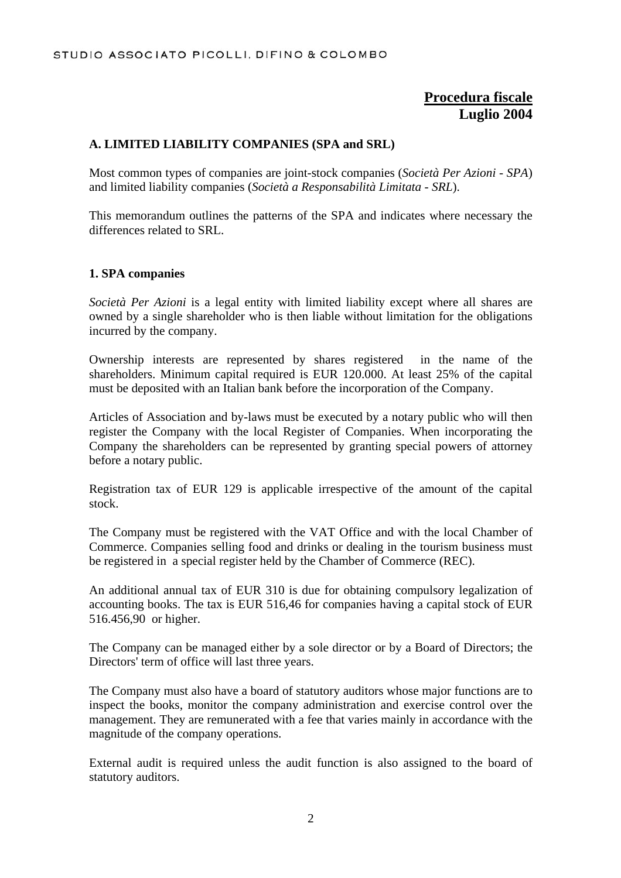## **A. LIMITED LIABILITY COMPANIES (SPA and SRL)**

Most common types of companies are joint-stock companies (*Società Per Azioni - SPA*) and limited liability companies (*Società a Responsabilità Limitata - SRL*).

This memorandum outlines the patterns of the SPA and indicates where necessary the differences related to SRL.

## **1. SPA companies**

*Società Per Azioni* is a legal entity with limited liability except where all shares are owned by a single shareholder who is then liable without limitation for the obligations incurred by the company.

Ownership interests are represented by shares registered in the name of the shareholders. Minimum capital required is EUR 120.000. At least 25% of the capital must be deposited with an Italian bank before the incorporation of the Company.

Articles of Association and by-laws must be executed by a notary public who will then register the Company with the local Register of Companies. When incorporating the Company the shareholders can be represented by granting special powers of attorney before a notary public.

Registration tax of EUR 129 is applicable irrespective of the amount of the capital stock.

The Company must be registered with the VAT Office and with the local Chamber of Commerce. Companies selling food and drinks or dealing in the tourism business must be registered in a special register held by the Chamber of Commerce (REC).

An additional annual tax of EUR 310 is due for obtaining compulsory legalization of accounting books. The tax is EUR 516,46 for companies having a capital stock of EUR 516.456,90 or higher.

The Company can be managed either by a sole director or by a Board of Directors; the Directors' term of office will last three years.

The Company must also have a board of statutory auditors whose major functions are to inspect the books, monitor the company administration and exercise control over the management. They are remunerated with a fee that varies mainly in accordance with the magnitude of the company operations.

External audit is required unless the audit function is also assigned to the board of statutory auditors.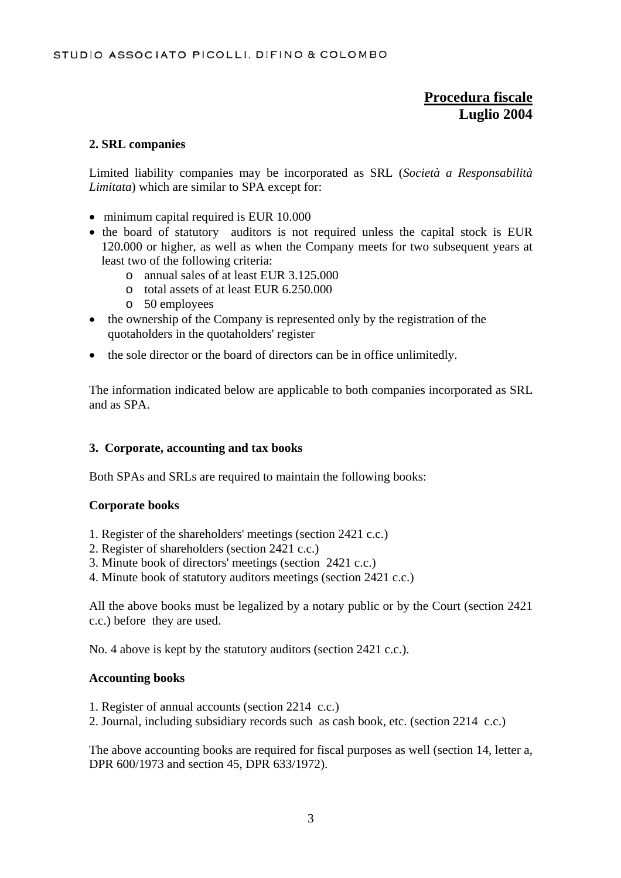## **2. SRL companies**

Limited liability companies may be incorporated as SRL (*Società a Responsabilità Limitata*) which are similar to SPA except for:

- minimum capital required is EUR 10.000
- the board of statutory auditors is not required unless the capital stock is EUR 120.000 or higher, as well as when the Company meets for two subsequent years at least two of the following criteria:
	- o annual sales of at least EUR 3.125.000
	- o total assets of at least EUR 6.250.000
	- o 50 employees
- the ownership of the Company is represented only by the registration of the quotaholders in the quotaholders' register
- the sole director or the board of directors can be in office unlimitedly.

The information indicated below are applicable to both companies incorporated as SRL and as SPA.

## **3. Corporate, accounting and tax books**

Both SPAs and SRLs are required to maintain the following books:

## **Corporate books**

- 1. Register of the shareholders' meetings (section 2421 c.c.)
- 2. Register of shareholders (section 2421 c.c.)
- 3. Minute book of directors' meetings (section 2421 c.c.)
- 4. Minute book of statutory auditors meetings (section 2421 c.c.)

All the above books must be legalized by a notary public or by the Court (section 2421 c.c.) before they are used.

No. 4 above is kept by the statutory auditors (section 2421 c.c.).

## **Accounting books**

- 1. Register of annual accounts (section 2214 c.c.)
- 2. Journal, including subsidiary records such as cash book, etc. (section 2214 c.c.)

The above accounting books are required for fiscal purposes as well (section 14, letter a, DPR 600/1973 and section 45, DPR 633/1972).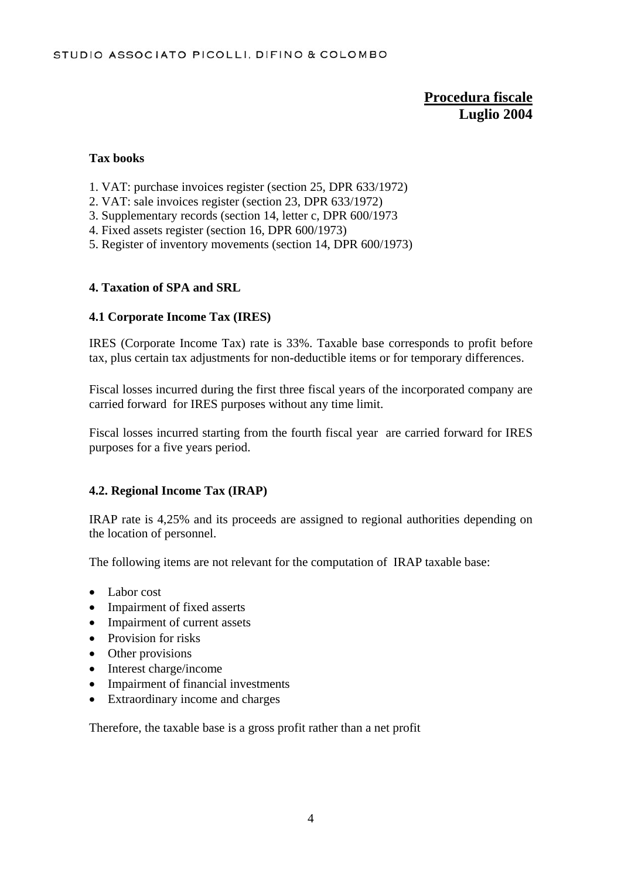### **Tax books**

- 1. VAT: purchase invoices register (section 25, DPR 633/1972)
- 2. VAT: sale invoices register (section 23, DPR 633/1972)
- 3. Supplementary records (section 14, letter c, DPR 600/1973
- 4. Fixed assets register (section 16, DPR 600/1973)
- 5. Register of inventory movements (section 14, DPR 600/1973)

#### **4. Taxation of SPA and SRL**

#### **4.1 Corporate Income Tax (IRES)**

IRES (Corporate Income Tax) rate is 33%. Taxable base corresponds to profit before tax, plus certain tax adjustments for non-deductible items or for temporary differences.

Fiscal losses incurred during the first three fiscal years of the incorporated company are carried forward for IRES purposes without any time limit.

Fiscal losses incurred starting from the fourth fiscal year are carried forward for IRES purposes for a five years period.

## **4.2. Regional Income Tax (IRAP)**

IRAP rate is 4,25% and its proceeds are assigned to regional authorities depending on the location of personnel.

The following items are not relevant for the computation of IRAP taxable base:

- Labor cost
- Impairment of fixed asserts
- Impairment of current assets
- Provision for risks
- Other provisions
- Interest charge/income
- Impairment of financial investments
- Extraordinary income and charges

Therefore, the taxable base is a gross profit rather than a net profit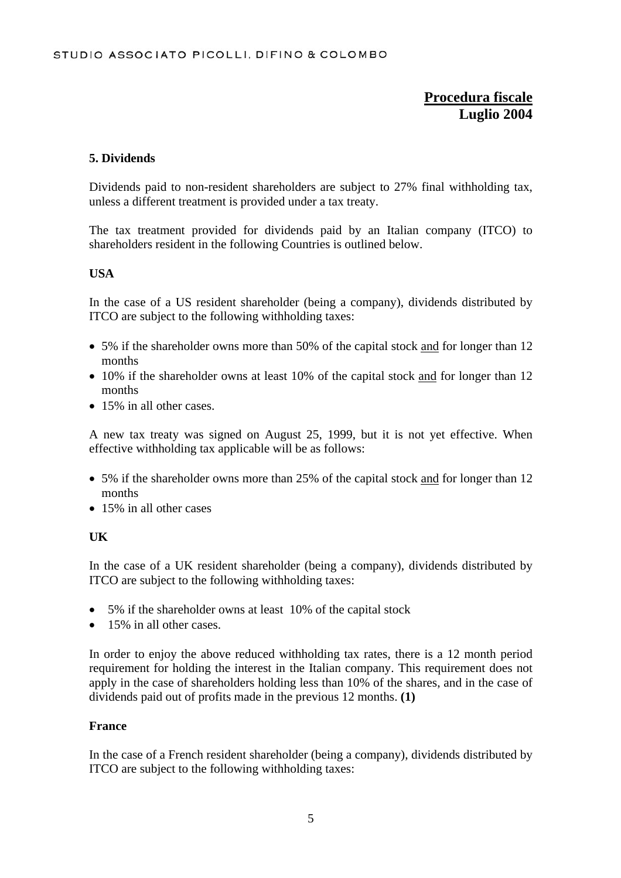## **5. Dividends**

Dividends paid to non-resident shareholders are subject to 27% final withholding tax, unless a different treatment is provided under a tax treaty.

The tax treatment provided for dividends paid by an Italian company (ITCO) to shareholders resident in the following Countries is outlined below.

## **USA**

In the case of a US resident shareholder (being a company), dividends distributed by ITCO are subject to the following withholding taxes:

- 5% if the shareholder owns more than 50% of the capital stock and for longer than 12 months
- 10% if the shareholder owns at least 10% of the capital stock and for longer than 12 months
- 15% in all other cases.

A new tax treaty was signed on August 25, 1999, but it is not yet effective. When effective withholding tax applicable will be as follows:

- 5% if the shareholder owns more than 25% of the capital stock and for longer than 12 months
- 15% in all other cases

## **UK**

In the case of a UK resident shareholder (being a company), dividends distributed by ITCO are subject to the following withholding taxes:

- 5% if the shareholder owns at least 10% of the capital stock
- 15% in all other cases.

In order to enjoy the above reduced withholding tax rates, there is a 12 month period requirement for holding the interest in the Italian company. This requirement does not apply in the case of shareholders holding less than 10% of the shares, and in the case of dividends paid out of profits made in the previous 12 months. **(1)**

#### **France**

In the case of a French resident shareholder (being a company), dividends distributed by ITCO are subject to the following withholding taxes: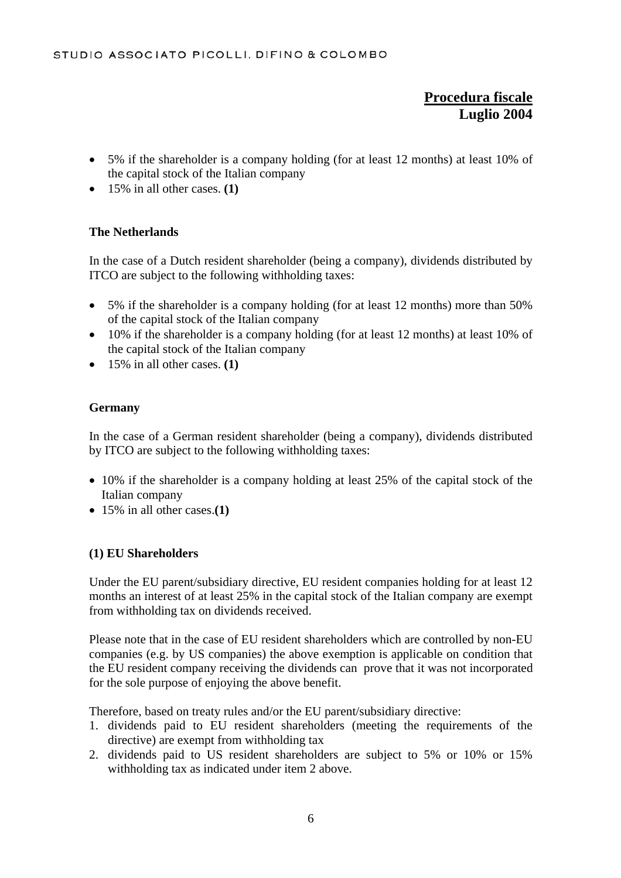- 5% if the shareholder is a company holding (for at least 12 months) at least 10% of the capital stock of the Italian company
- 15% in all other cases. **(1)**

## **The Netherlands**

In the case of a Dutch resident shareholder (being a company), dividends distributed by ITCO are subject to the following withholding taxes:

- 5% if the shareholder is a company holding (for at least 12 months) more than 50% of the capital stock of the Italian company
- 10% if the shareholder is a company holding (for at least 12 months) at least 10% of the capital stock of the Italian company
- 15% in all other cases. **(1)**

## **Germany**

In the case of a German resident shareholder (being a company), dividends distributed by ITCO are subject to the following withholding taxes:

- 10% if the shareholder is a company holding at least 25% of the capital stock of the Italian company
- 15% in all other cases.**(1)**

## **(1) EU Shareholders**

Under the EU parent/subsidiary directive, EU resident companies holding for at least 12 months an interest of at least 25% in the capital stock of the Italian company are exempt from withholding tax on dividends received.

Please note that in the case of EU resident shareholders which are controlled by non-EU companies (e.g. by US companies) the above exemption is applicable on condition that the EU resident company receiving the dividends can prove that it was not incorporated for the sole purpose of enjoying the above benefit.

Therefore, based on treaty rules and/or the EU parent/subsidiary directive:

- 1. dividends paid to EU resident shareholders (meeting the requirements of the directive) are exempt from withholding tax
- 2. dividends paid to US resident shareholders are subject to 5% or 10% or 15% withholding tax as indicated under item 2 above.